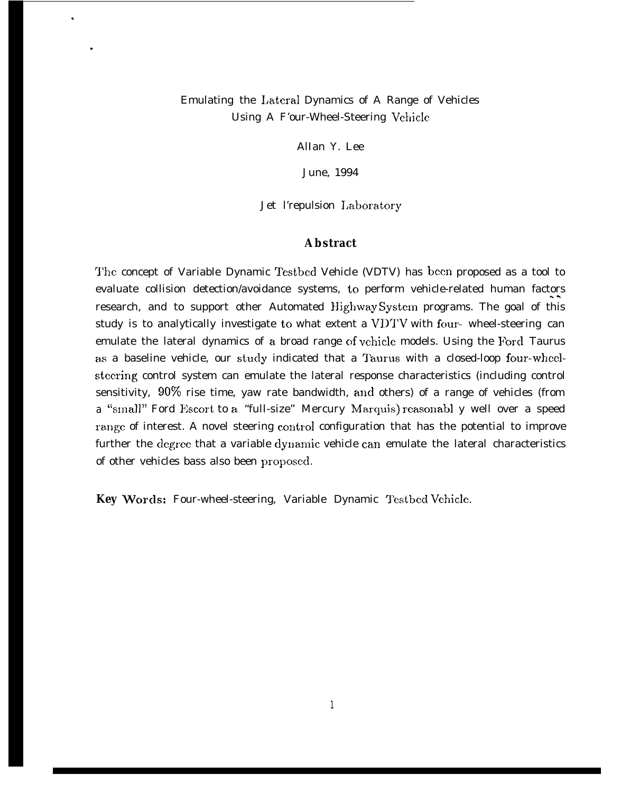# Emulating the Lateral Dynamics of A Range of Vehicles Using A F'our-Wheel-Steering Vchicle

.

.

AlIan Y. Lee

June, 1994

Jet l'repulsion I,aboratory

### **Abstract**

The concept of Variable Dynamic Testbed Vehicle (VDTV) has been proposed as a tool to evaluate collision detection/avoidance systems, to perform vehicle-related human factors research, and to support other Automated Higliway Systcm programs. The goal of this study is to analytically investigate to what extent a VDTV with four- wheel-steering can emulate the lateral dynamics of a broad range of vchicle models. Using the Ford Taurus as a baseline vehicle, our study indicated that a Taurus with a closed-loop four-wheelstccring control system can emulate the lateral response characteristics (including control sensitivity,  $90\%$  rise time, yaw rate bandwidth, and others) of a range of vehicles (from a "small" Ford Escort to a "full-size" Mercury Marquis) reasonabl y well over a speed range of interest. A novel steering control configuration that has the potential to improve further the degree that a variable dynamic vehicle can emulate the lateral characteristics of other vehicles bass also been proposccl.

Key Words: Four-wheel-steering, Variable Dynamic Testbed Vehicle.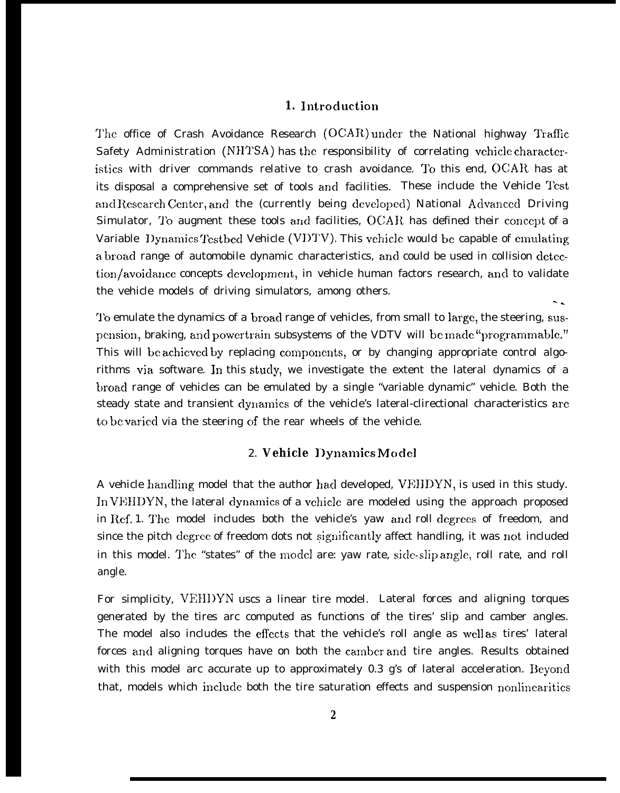## **1. Introcluction**

The office of Crash Avoidance Research (OCAR) under the National highway Traffic Safety Administration (NHTSA) has the responsibility of correlating vehicle characteristics with driver commands relative to crash avoidance. To this end,  $OCAR$  has at its disposal a comprehensive set of tools and facilities. These include the Vehicle Test and Research Center, and the (currently being developed) National Advanced Driving Simulator, To augment these tools and facilities,  $\rm OCAR$  has defined their concept of a Variable Dynamics Testbed Vehicle (VDTV). This vehicle would be capable of emulating a broad range of automobile dynamic characteristics, and could be used in collision detection/avoidance concepts development, in vehicle human factors research, and to validate the vehicle models of driving simulators, among others.  $\sim$   $\sim$ 

'1'o emulate the dynamics of a broacl range of vehicles, from small to large, the steering, suspension, braking, and powertrain subsystems of the VDTV will be made "programmable." This will be achieved by replacing components, or by changing appropriate control algorithms via software. In this study, we investigate the extent the lateral dynamics of a broacl range of vehicles can be emulated by a single "variable dynamic" vehicle. Both the steady state and transient dynamics of the vehicle's lateral-clirectional characteristics are to be varied via the steering of the rear wheels of the vehicle.

## 2. Vehicle Dynamics Model

A vehicle handling model that the author had developed, VEHDYN, is used in this study. In VEHDYN, the lateral dynamics of a vehicle are modeled using the approach proposed in Ref. 1. The model includes both the vehicle's yaw and roll degrees of freedom, and since the pitch degree of freedom dots not significantly affect handling, it was not included in this model. The "states" of the model are: yaw rate, side-slip angle, roll rate, and roll angle.

For simplicity, VEH1)YN uscs a linear tire model. Lateral forces and aligning torques generated by the tires arc computed as functions of the tires' slip and camber angles. The model also includes the effects that the vehicle's roll angle as well as tires' lateral forces and aligning torques have on both the camber and tire angles. Results obtained with this model arc accurate up to approximately  $0.3$  g's of lateral acceleration. Beyond that, models which include both the tire saturation effects and suspension nonlinearities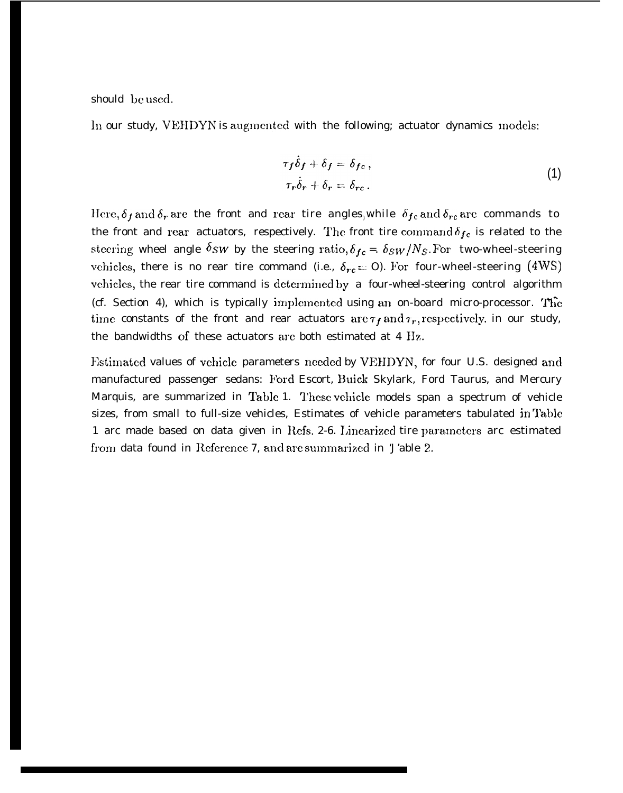should be used.

In our study, VEHDYN is augmented with the following; actuator dynamics models:

$$
\tau_f \dot{\delta}_f + \delta_f = \delta_{fc}, \n\tau_r \dot{\delta}_r + \delta_r = \delta_{rc}.
$$
\n(1)

Here,  $\delta_f$  and  $\delta_r$  are the front and rear tire angles, while  $\delta_{fc}$  and  $\delta_{rc}$  are commands to the front and rear actuators, respectively. The front tire command  $\delta_{fc}$  is related to the steering wheel angle  $\delta s$ w by the steering ratio,  $\delta_{fc} = \delta_{SW}/N_S$ . For two-wheel-steering vchicles, there is no rear tire command (i.e.,  $\delta_{rc} = 0$ ). For four-wheel-steering (4WS) vehicles, the rear tire command is determined by a four-wheel-steering control algorithm (cf. Section 4), which is typically implemented using an on-board micro-processor. The time constants of the front and rear actuators are  $\tau_f$  and  $\tau_r$ , respectively. in our study, the bandwidths of these actuators arc both estimated at 4 llz.

Estimated values of vehicle parameters needed by VEHDYN, for four U.S. designed and manufactured passenger sedans: Ford Escort, Buick Skylark, Ford Taurus, and Mercury Marquis, are summarized in Table 1. These vehicle models span a spectrum of vehicle sizes, from small to full-size vehicles, Estimates of vehicle parameters tabulated in Table 1 arc made based on data given in Refs. 2-6. Linearized tire parameters arc estimated from data found in Reference 7, and are summarized in 'J'able 2.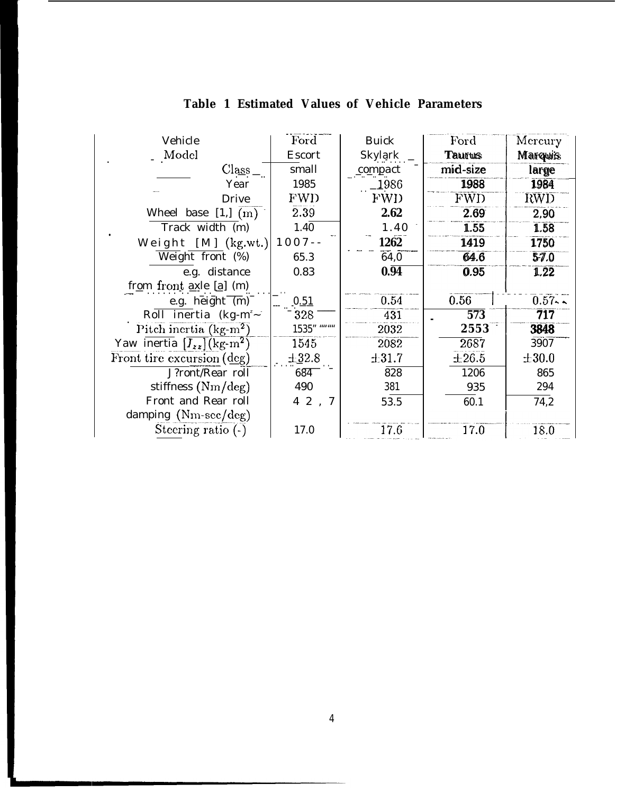| Table 1 Estimated Values of Vehicle Parameters |                  |                |               |                 |  |
|------------------------------------------------|------------------|----------------|---------------|-----------------|--|
| Vehicle                                        | Ford             | <b>Buick</b>   | Ford          | Mercury         |  |
| Model                                          | <b>Escort</b>    | <b>Skylark</b> | <b>Taurus</b> | <b>Marquiis</b> |  |
| Class                                          | small            | compact        | mid-size      | large           |  |
| Year                                           | 1985             | 1986           | 1988          | 1984            |  |
| <b>Drive</b>                                   | <b>FWD</b>       | FWD            | <b>FWD</b>    | RWD             |  |
| Wheel base $[1,](m)$                           | 2.39             | 2.62           | 2.69          | 2,90            |  |
| Track width (m)                                | 1.40             | 1.40           | 1.55          | 1.58            |  |
| Weight $[M]$ (kg.wt.)                          | $1007 -$         | 1262           | 1419          | 1750            |  |
| Weight front $(\%)$                            | 65.3             | 64,0           | 64.6          | $5 - 7.0$       |  |
| e.g. distance                                  | 0.83             | 0.94           | 0.95          | 1.22            |  |
| from front axle [a] (m)                        |                  |                |               |                 |  |
| e.g. height $\overline{(m)}$                   | 0.51             | 0.54           | 0.56          | $0.57 -$        |  |
| Roll inertia ( $kg-m^2$                        | 328              | 431            | 573           | 717             |  |
| Pitch inertia $\text{(kg-m}^2\text{)}$         | $1535$ " """     | 2032           | 2553          | 3848            |  |
| Yaw inertia $[I_{zz}](kg-m^2)$                 | 1545             | 2082           | 2687          | 3907            |  |
| Front tire excursion (deg)                     | $\pm 32.8$       | ±31.7          | $\pm 26.5$    | $\pm 30.0$      |  |
| J?ront/Rear roll                               | $68\overline{4}$ | 828            | 1206          | 865             |  |
| stiffness $(Nm/\text{deg})$                    | 490              | 381            | 935           | 294             |  |
| Front and Rear roll                            | 42,<br>7         | 53.5           | 60.1          | 74,2            |  |
| damping $(Nm\text{-}sec/deg)$                  |                  |                |               |                 |  |
| Steering ratio $(-)$                           | 17.0             | 17.6           | 17.0          | 18.0            |  |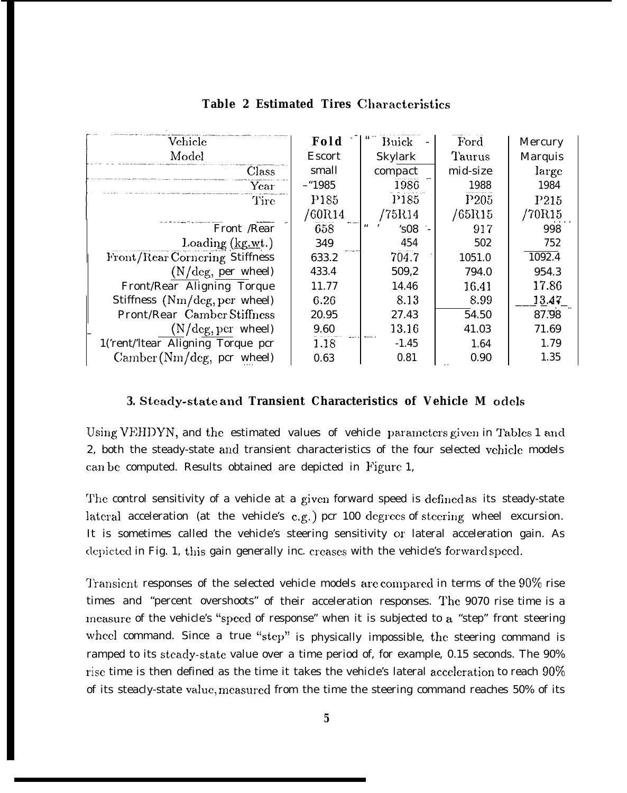| $\rm Vehicle$                      | Fold             | Buick          | Ford             | Mercury            |
|------------------------------------|------------------|----------------|------------------|--------------------|
| Model                              | <b>Escort</b>    | <b>Skylark</b> | Taurus           | <b>Marquis</b>     |
| Class                              | small            | compact        | mid-size         | large              |
| $\operatorname{Year}$              | $-1985$          | 1986           | 1988             | 1984               |
| Tire                               | P <sub>185</sub> | P185           | P <sub>205</sub> | P215               |
|                                    | /60R14           | /75R14         | /65R15           | /70R15             |
| Front /Rear                        | 658              | $^{\circ}$ s08 | 917              | 998                |
| Loading $(kg.wt.)$                 | 349              | 454            | 502              | 752                |
| Front/Rear Cornering Stiffness     | 633.2            | 704.7          | 1051.0           | 1092.4             |
| $(N/\text{deg}, \text{per wheel})$ | 433.4            | 509,2          | 794.0            | 954.3              |
| Front/Rear Aligning Torque         | 11.77            | 14.46          | 16.41            | 17.86              |
| Stiffness (Nm/deg, per wheel)      | 6.26             | 8.13           | 8.99             | 13.47              |
| <b>Pront/Rear Camber Stiffness</b> | 20.95            | 27.43          | 54.50            | $87.\overline{98}$ |
| $(N/\text{deg}, \text{per wheel})$ | 9.60             | 13.16          | 41.03            | 71.69              |
| 1('rent/'ltear Aligning Torque pcr | 1.18             | $-1.45$        | 1.64             | 1.79               |
| Camber (Nm/deg, pcr wheel)         | 0.63             | 0.81           | 0.90             | 1.35               |

# Table 2 Estimated Tires Characteristics

# 3. Steady-state and Transient Characteristics of Vehicle M odels

Using VEHDYN, and the estimated values of vehicle parameters given in Tables 1 and 2, both the steady-state and transient characteristics of the four selected vehicle models can be computed. Results obtained are depicted in Figure 1,

The control sensitivity of a vehicle at a given forward speed is defined as its steady-state lateral acceleration (at the vehicle's c.g.) pcr 100 degrees of steering wheel excursion. It is sometimes called the vehicle's steering sensitivity or lateral acceleration gain. As depicted in Fig. 1, this gain generally inc. creases with the vehicle's forward speed.

Transient responses of the selected vehicle models are compared in terms of the 90% rise times and "percent overshoots" of their acceleration responses. The 9070 rise time is a ineasure of the vehicle's "speed of response" when it is subjected to a "step" front steering wheel command. Since a true "step" is physically impossible, the steering command is ramped to its steady-state value over a time period of, for example, 0.15 seconds. The 90% rise time is then defined as the time it takes the vehicle's lateral acceleration to reach 90% of its steacly-state value, measured from the time the steering command reaches 50% of its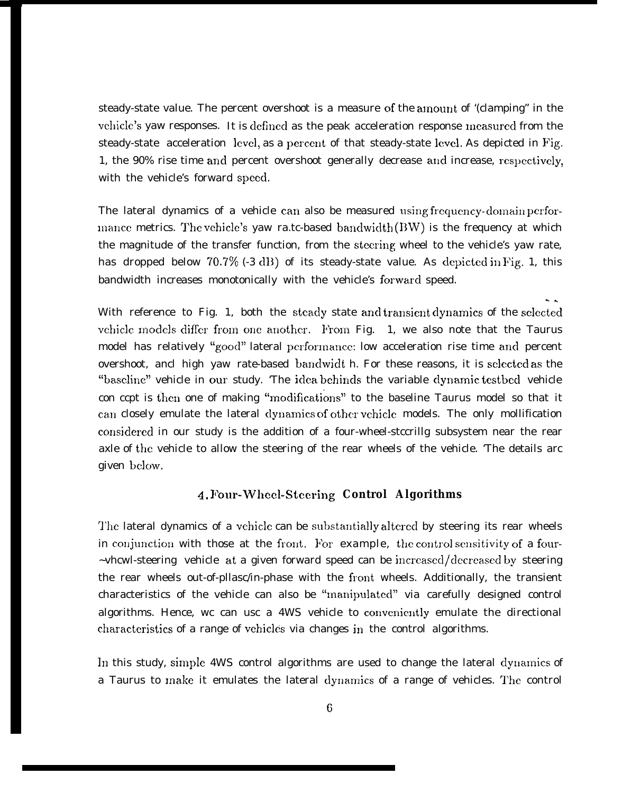steady-state value. The percent overshoot is a measure of the amount of '(clamping" in the vehicle's yaw responses. It is defined as the peak acceleration response measured from the steady-state acceleration level, as a percent of that steady-state level. As depicted in Fig. 1, the 90% rise time and percent overshoot generally decrease and increase, respectively, with the vehicle's forward speed,

The lateral dynamics of a vehicle can also be measured using frequency-domain performance metrics. The vehicle's yaw ra.tc-based bandwidth  $(BW)$  is the frequency at which the magnitude of the transfer function, from the steering wheel to the vehicle's yaw rate, has dropped below 70.7% (-3 dB) of its steady-state value. As depicted in Fig. 1, this bandwidth increases monotonically with the vehicle's forward speed.

With reference to Fig. 1, both the steady state and transient dynamics of the selected vchicle models differ from one another. From Fig. 1, we also note that the Taurus model has relatively "good" lateral performance: low acceleration rise time and percent overshoot, ancl high yaw rate-based bandwidt h. For these reasons, it is selected as the "baseline" vehicle in our study. The idea behinds the variable dynamic testbed vehicle con ccpt is then one of making "modifications" to the baseline Taurus model so that it can closely emulate the lateral dynamics of other vehicle models. The only mollification considered in our study is the addition of a four-wheel-stccrillg subsystem near the rear axle of the vehicle to allow the steering of the rear wheels of the vehicle. 'The details arc given below.

## 4. Four-Wheel-Steering Control Algorithms

The lateral dynamics of a vehicle can be substantially altered by steering its rear wheels in conjunction with those at the front. For example, the control sensitivity of a four-~vhcwl-steering vehicle at a given forward speed can be incrcasccl/decrcasccl by steering the rear wheels out-of-pllasc/in-phase with the front wheels. Additionally, the transient characteristics of the vehicle can also be "manipulated" via carefully designed control algorithms. Hence, wc can usc a 4WS vehicle to conveniently emulate the directional characteristics of a range of vehicles via changes in the control algorithms.

In this study, simple 4WS control algorithms are used to change the lateral dynamics of a Taurus to make it emulates the lateral dynamics of a range of vehicles. The control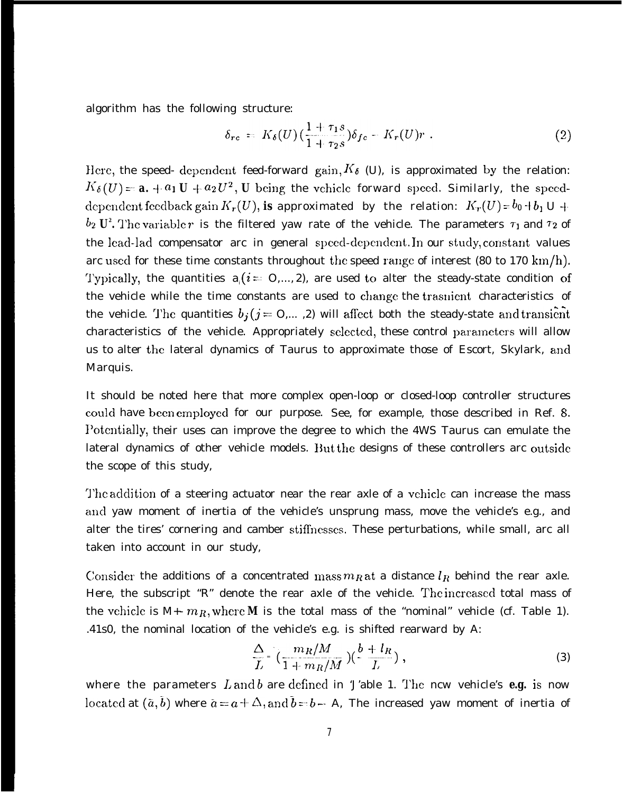algorithm has the following structure:

$$
\delta_{rc} = K_{\delta}(U) \left( \frac{1 + \tau_1 s}{1 + \tau_2 s} \right) \delta_{fc} - K_r(U) r \ . \tag{2}
$$

Here, the speed- dependent feed-forward gain,  $K_{\delta}$  (U), is approximated by the relation:  $K_{\delta}(U) = a + a_1 U + a_2 U^2$ , U being the vehicle forward speed. Similarly, the speeddependent feedback gain  $K_r(U)$ , is approximated by the relation:  $K_r(U) = b_0 + b_1 U +$  $b_2$   $\bm{U}^{\!\scriptscriptstyle\! L}$ . The variable  $r$  is the filtered yaw rate of the vehicle. The parameters  $\tau_1$  and  $\tau_2$  of the lead-lad compensator arc in general speed-dependent. In our study, constant values arc used for these time constants throughout the speed range of interest (80 to 170 km/h). Typically, the quantities  $a_i (i = 0, ..., 2)$ , are used to alter the steady-state condition of the vehicle while the time constants are used to change the trasnient characteristics of the vehicle. The quantities  $b_j$  (j = 0,..., 2) will affect both the steady-state and transient characteristics of the vehicle. Appropriately selected, these control parameters will allow us to alter the lateral dynamics of Taurus to approximate those of Escort, Skylark, and Marquis.

It should be noted here that more complex open-loop or closed-loop controller structures could have been employed for our purpose. See, for example, those described in Ref. 8. I'otcntial]y, their uses can improve the degree to which the 4WS Taurus can emulate the lateral dynamics of other vehicle models. But the designs of these controllers arc outside the scope of this study,

The addition of a steering actuator near the rear axle of a vehicle can increase the mass ancl yaw moment of inertia of the vehicle's unsprung mass, move the vehicle's e.g., and alter the tires' cornering and camber stiffncsscs. These perturbations, while small, arc all taken into account in our study,

Consider the additions of a concentrated mass  $m_R$  at a distance  $l_R$  behind the rear axle. Here, the subscript "R" denote the rear axle of the vehicle. The increased total mass of the vchicle is  $M_{+}$  *m<sub>R</sub>*, where *M* is the total mass of the "nominal" vehicle (cf. Table 1). .41s0, the nominal location of the vehicle's e.g. is shifted rearward by A:

$$
\frac{\Delta}{L} = \left(\frac{m_R/M}{1 + m_R/M}\right)\left(\frac{b + l_R}{L}\right),\tag{3}
$$

where the parameters  $L$  and  $b$  are defined in 'J'able 1. The new vehicle's *e.g.* is now located at  $(\bar{a}, \bar{b})$  where  $\bar{a} = a + \Delta$ , and  $\bar{b} = b - A$ , The increased yaw moment of inertia of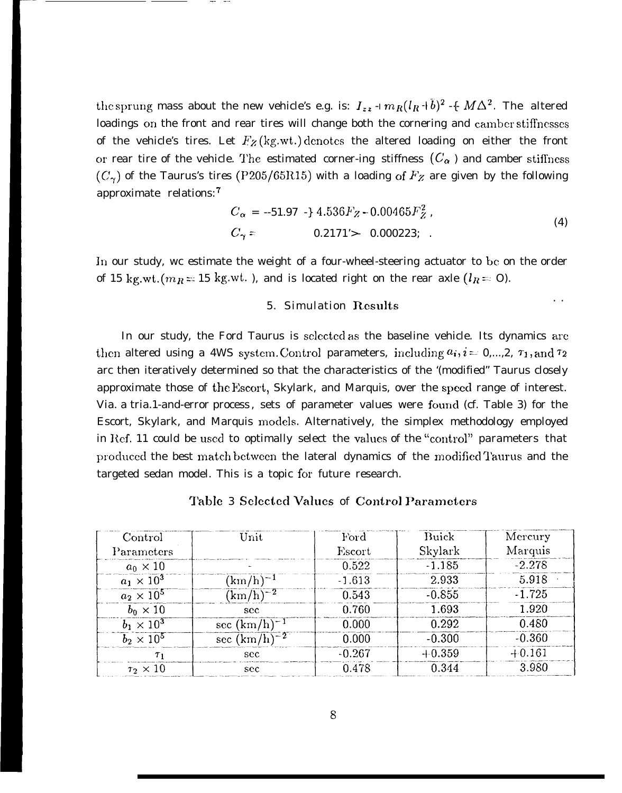the sprung mass about the new vehicle's e.g. is:  $I_{zz}$  -I  $m_R(I_R+\bar{b})^2$  -{-  $M\Delta^2$ . The altered loadings on the front and rear tires will change both the cornering and camber stiffnesses of the vehicle's tires. Let  $F_Z$ (kg.wt.) denotes the altered loading on either the front or rear tire of the vehicle. The estimated corner-ing stiffness  $(C_{\alpha})$  and camber stiffness  $(C_{\gamma})$  of the Taurus's tires (P205/65R15) with a loading of  $F_Z$  are given by the following approximate relations: <sup>7</sup>

. .

$$
C_{\alpha} = -51.97 \cdot \frac{1}{2} 4.536 F_Z - 0.00465 F_Z^2 ,
$$
  
\n
$$
C_{\gamma} = 0.2171' > 0.000223; . \tag{4}
$$

In our study, we estimate the weight of a four-wheel-steering actuator to be on the order of 15 kg.wt. ( $m_R = 15$  kg.wt.), and is located right on the rear axle ( $l_R = 0$ ).

#### 5. Simulation Results

In our study, the Ford Taurus is selected as the baseline vehicle. Its dynamics are then altered using a 4WS system. Control parameters, including  $a_i, i = 0,...,2, \tau_1$ , and  $\tau_2$ arc then iteratively determined so that the characteristics of the '(modified" Taurus closely approximate those of the Escort, Skylark, and Marquis, over the speed range of interest. Via. a tria.1-and-error process, sets of parameter values were found (cf. Table 3) for the Escort, Skylark, and Marquis models. Alternatively, the simplex methodology employed in Ref. 11 could be used to optimally select the values of the "control" parameters that produced the best match between the lateral dynamics of the modified Taurus and the targeted sedan model. This is a topic for future research.

| Control            | $\text{Unit}$     | Ford     | Buick    | Mercury  |
|--------------------|-------------------|----------|----------|----------|
| Parameters         |                   | Escort   | Skylark  | Marquis  |
| $a_0 \times 10$    |                   | 0.522    | $-1.185$ | $-2.278$ |
| $a_1 \times 10^3$  | $(km/h)^{-1}$     | $-1.613$ | 2.933    | 5.918    |
| $a_2 \times 10^5$  | $(\rm km/h)^{-2}$ | 0.543    | $-0.855$ | $-1.725$ |
| $b_0 \times 10$    | sec               | 0.760    | 1.693    | 1.920    |
| $b_1 \times 10^3$  | $\sec(km/h)^{-1}$ | 0.000    | 0.292    | 0.480    |
| $b_2 \times 10^5$  | sec $(km/h)^{-2}$ | 0.000    | $-0.300$ | $-0.360$ |
|                    | sec               | $-0.267$ | $+0.359$ | $+0.161$ |
| $\tau_2 \times 10$ | sec               | 0.478    | 0.344    | 3.980    |

Table 3 Selected Values of Control Parameters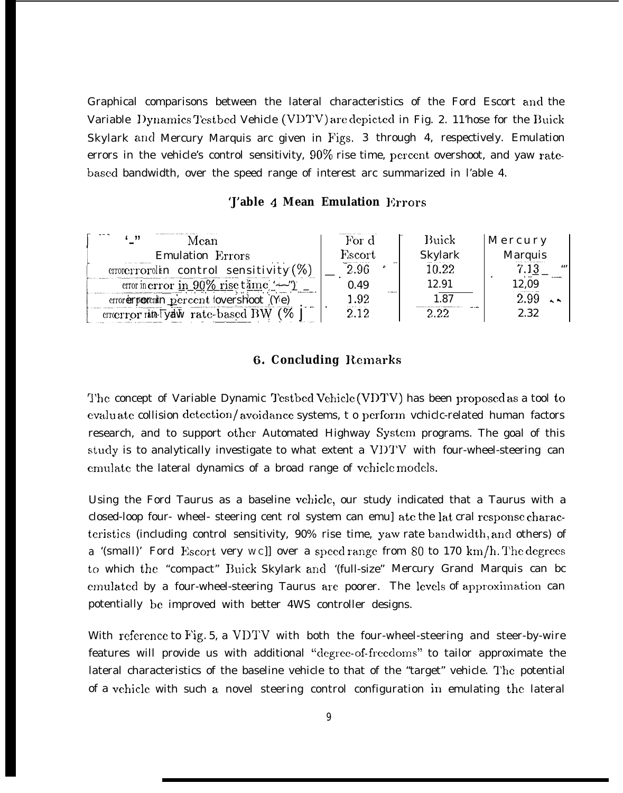Graphical comparisons between the lateral characteristics of the Ford Escort and the Variable Dynamics Testbed Vehicle (VDTV) are depicted in Fig. 2. 11'hose for the Buick Skylark and Mercury Marquis arc given in Figs. 3 through 4, respectively. Emulation errors in the vehicle's control sensitivity,  $90\%$  rise time, percent overshoot, and yaw ratebased bandwidth, over the speed range of interest arc summarized in l'able 4.

## 'J'able 4 Mean Emulation Errors

| . "<br>Mean                                                       | For d   | Buick          | Mercury        |
|-------------------------------------------------------------------|---------|----------------|----------------|
| <b>Emulation Errors</b>                                           | Fiscort | <b>Skylark</b> | <b>Marquis</b> |
| error control sensitivity $(\%)$                                  | 2.96    | $10.22\,$      | 669            |
| error in error in 90% rise t $\text{ime}$ $\rightarrow$ $\sim$ ") | 0.49    | 12.91          | 2.09           |
| error errorentin percent lovershoot (Ye)                          | 1.92    | 1.87           |                |
| errecrror rine Tyaw rate-based BW                                 |         |                | 2.32           |

# **6. Concluding Remarks**

The concept of Variable Dynamic Testbed Vehicle (VDTV) has been proposed as a tool to evaluate collision detection/avoidance systems, t o perform vchicle-related human factors research, and to support other Automated Highway System programs. The goal of this study is to analytically investigate to what extent a VDTV with four-wheel-steering can emulate the lateral dynamics of a broad range of vehicle models.

Using the Ford Taurus as a baseline vehicle, our study indicated that a Taurus with a closed-loop four- wheel- steering cent rol system can emul ate the lat cral response characteristics (including control sensitivity, 90% rise time, yaw rate bandwidth, and others) of a '(small)' Ford Escort very wc]] over a speed range from 80 to 170 km/h. The degrees to which the "compact" Buick Skylark and '(full-size" Mercury Grand Marquis can be emulated by a four-wheel-steering Taurus are poorer. The levels of approximation can potentially be improved with better 4WS controller designs.

With reference to Fig. 5, a VDTV with both the four-wheel-steering and steer-by-wire features will provide us with additional "degree-of-freedoms" to tailor approximate the lateral characteristics of the baseline vehicle to that of the "target" vehicle. The potential of a vehicle with such a novel steering control configuration in emulating the lateral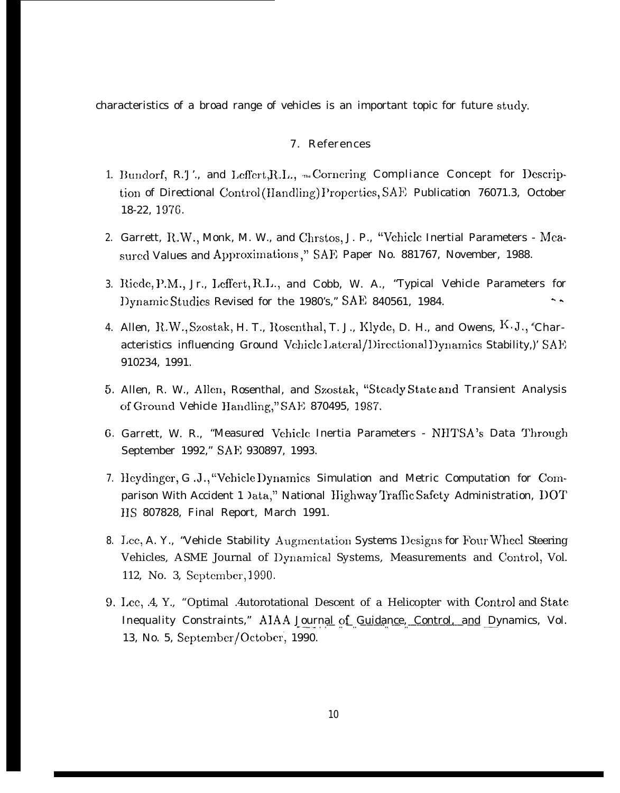characteristics of a broad range of vehicles is an important topic for future study.

#### 7. References

- 1. Bundorf, R.'J'., and Leffert, R.L., The Cornering Compliance Concept for Description of Directional Control (Handling) Properties, SAE Publication 76071.3, October 18-22, 1976.
- 2. Garrett, R.W., Monk, M. W., and Chrstos, J. P., "Vehicle Inertial Parameters Mcasured Values and Approximations," SAF, Paper No. 881767, November, 1988.
- 3. Riede, P.M., Jr., Leffert, R.L., and Cobb, W. A., "Typical Vehicle Parameters for  $\ddot{\phantom{1}}$ Dynamic Studies Revised for the 1980's," SAE 840561, 1984.
- 4. Allen, R.W., Szostak, H. T., Rosenthal, T. J., Klyde, D. H., and Owens, K.J., "Characteristics influencing Ground VehicleLateral/DirectionalDynamics Stability,)' SAE 910234, 1991.
- 5. Allen, R. W., Allen, Rosenthal, and Szostak, "Steady State and Transient Analysis of Ground Vehicle Handling," SAE 870495, 1987.
- 6. Garrett, W. R., "Measured Vehicle Inertia Parameters NHTSA's Data Through September 1992," SAE 930897, 1993.
- 7. Heydinger, G.J., "Vehicle Dynamics Simulation and Metric Computation for Comparison With Accident 1 )ata," National Highway Traffic Safety Administration, DOT HS 807828, Final Report, March 1991.
- 8. Lee, A. Y., "Vehicle Stability Augmentation Systems Designs for Four Wheel Steering Vehicles, ASME Journal of Dynamical Systems, Measurements and Control, Vol. 112, No. 3, September, 1990.
- 9. Lee, 4, Y., "Optimal .4utorotational Descent of a Helicopter with Control and State Inequality Constraints," AIAA Journal of Guidance, Control, and Dynamics, Vol. 13, No. 5, September/October, 1990.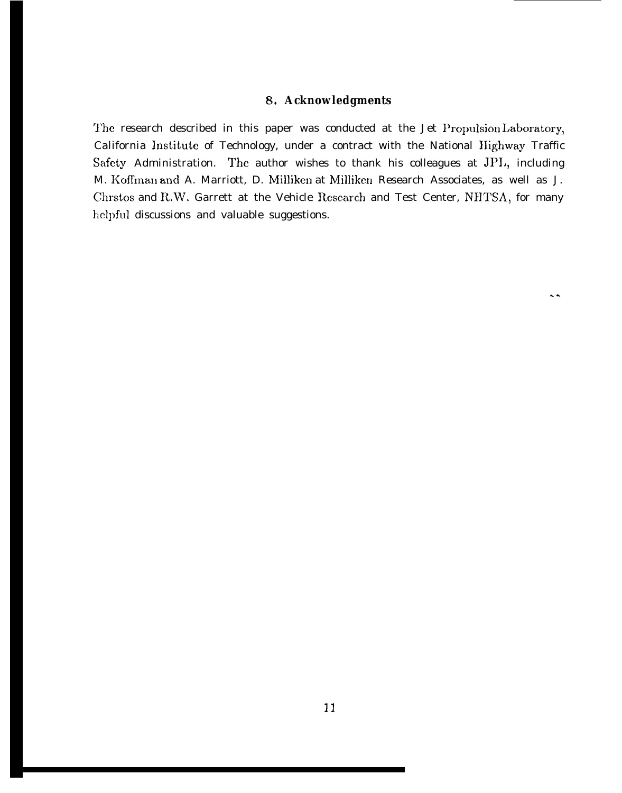## 8, **Acknowledgments**

The research described in this paper was conducted at the Jet Propulsion Laboratory, California lnstitutc of Technology, under a contract with the National IIighway Traffic safety Administration. The author wishes to thank his colleagues at JPI,, including M. Koffman and A. Marriott, D. Millikcn at Millikcm Research Associates, as well as J. Chrstos and R.W. Garrett at the Vehicle Research and Test Center, NHTSA, for many helpful discussions and valuable suggestions.

 $\ddot{\phantom{1}}$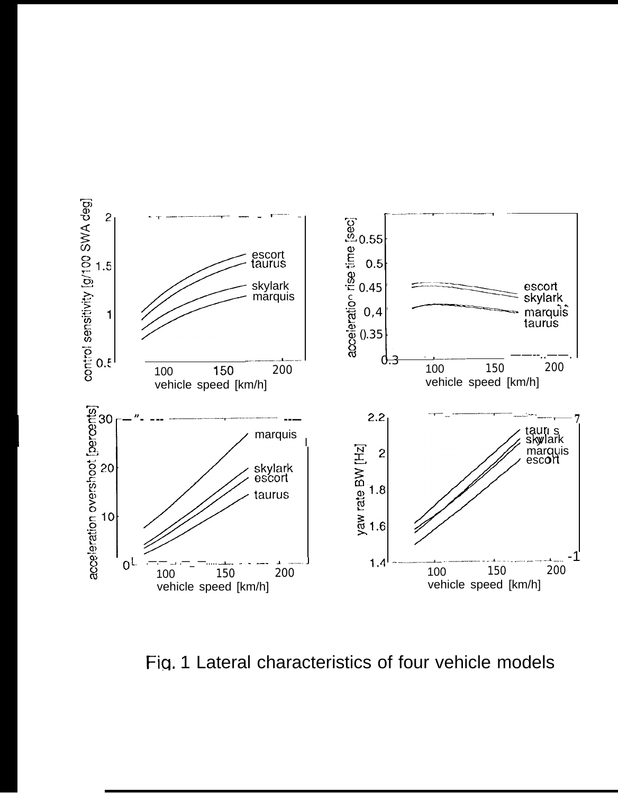

**I**

Fia. 1 Lateral characteristics of four vehicle models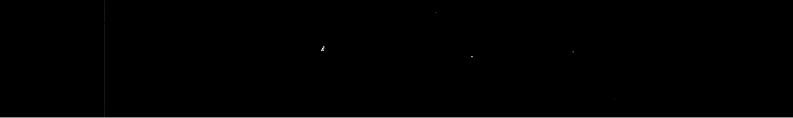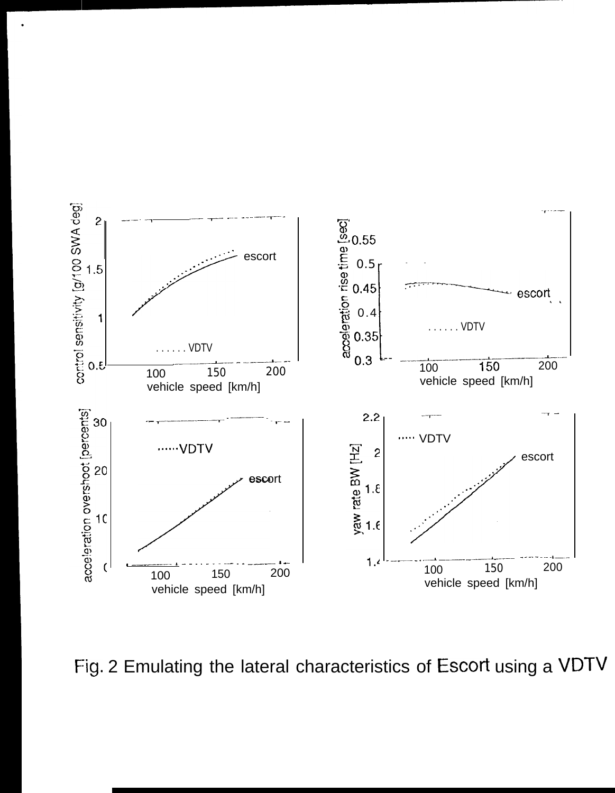

●

Fig. 2 Emulating the lateral characteristics of Escort using a VDTV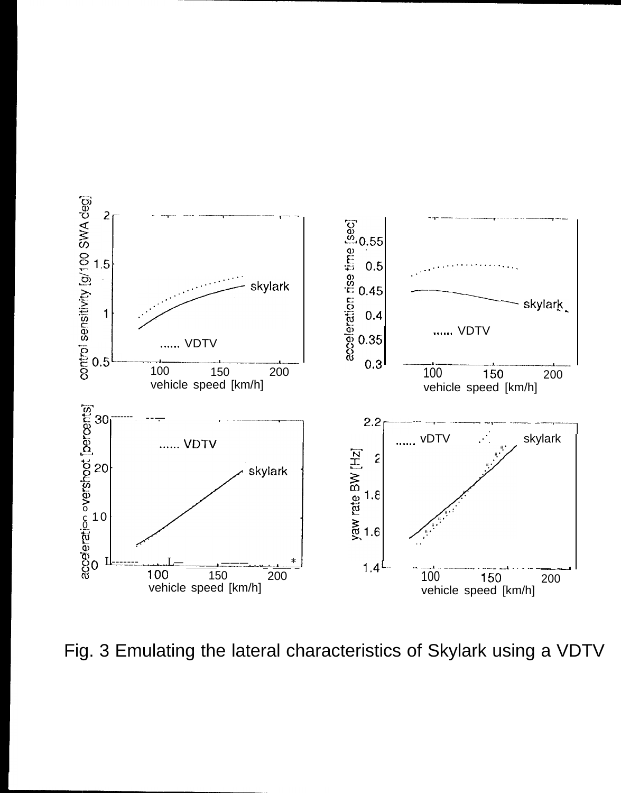

Fig. 3 Emulating the lateral characteristics of Skylark using a VDTV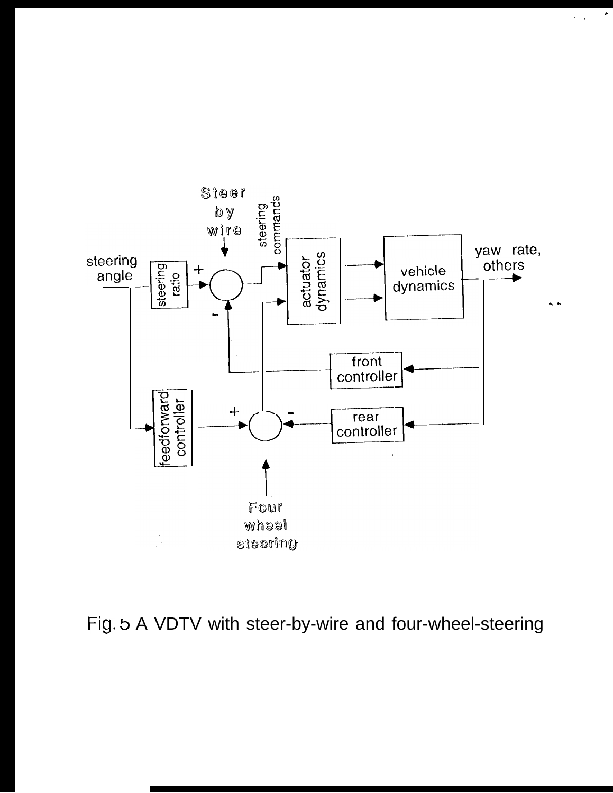

 $\blacktriangleright$ 

 $\frac{1}{2}$  .

Fig. 5 A VDTV with steer-by-wire and four-wheel-steering